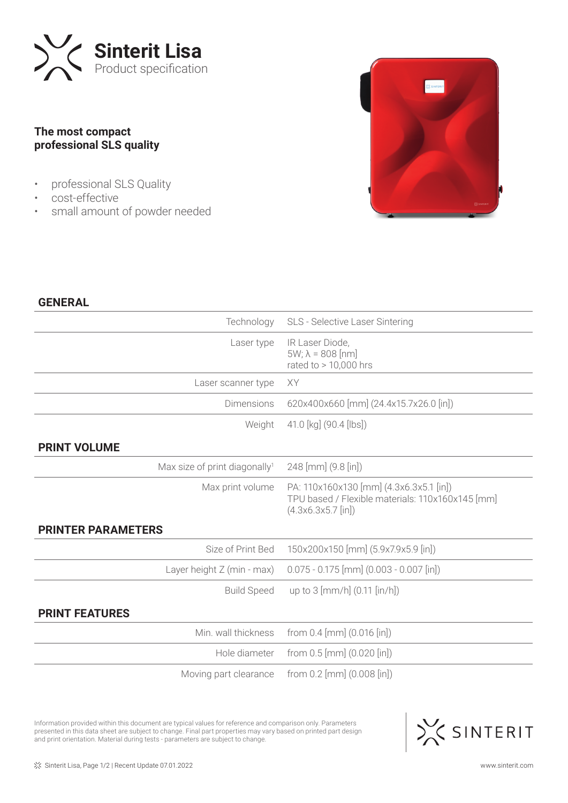

## **The most compact professional SLS quality**

- professional SLS Quality
- cost-effective
- small amount of powder needed



## **GENERAL**

| Technology                                | SLS - Selective Laser Sintering                                                                                     |
|-------------------------------------------|---------------------------------------------------------------------------------------------------------------------|
| Laser type                                | IR Laser Diode,<br>$5W; \lambda = 808$ [nm]<br>rated to $> 10,000$ hrs                                              |
| Laser scanner type                        | XY                                                                                                                  |
| <b>Dimensions</b>                         | 620x400x660 [mm] (24.4x15.7x26.0 [in])                                                                              |
| Weight                                    | 41.0 [kg] (90.4 [lbs])                                                                                              |
| <b>PRINT VOLUME</b>                       |                                                                                                                     |
| Max size of print diagonally <sup>1</sup> | 248 [mm] (9.8 [in])                                                                                                 |
| Max print volume                          | PA: 110x160x130 [mm] (4.3x6.3x5.1 [in])<br>TPU based / Flexible materials: 110x160x145 [mm]<br>$(4.3x6.3x5.7$ [in]) |
| <b>PRINTER PARAMETERS</b>                 |                                                                                                                     |
| Size of Print Bed                         | 150x200x150 [mm] (5.9x7.9x5.9 [in])                                                                                 |
| Layer height Z (min - max)                | $0.075 - 0.175$ [mm] $(0.003 - 0.007$ [in])                                                                         |
| <b>Build Speed</b>                        | up to 3 [mm/h] (0.11 [in/h])                                                                                        |
| <b>PRINT FEATURES</b>                     |                                                                                                                     |
| Min. wall thickness                       | from $0.4$ [mm] $(0.016$ [in])                                                                                      |
| Hole diameter                             | from $0.5$ [mm] $(0.020$ [in])                                                                                      |
| Moving part clearance                     | from $0.2$ [mm] $(0.008$ [in])                                                                                      |

Information provided within this document are typical values for reference and comparison only. Parameters presented in this data sheet are subject to change. Final part properties may vary based on printed part design and print orientation. Material during tests - parameters are subject to change.